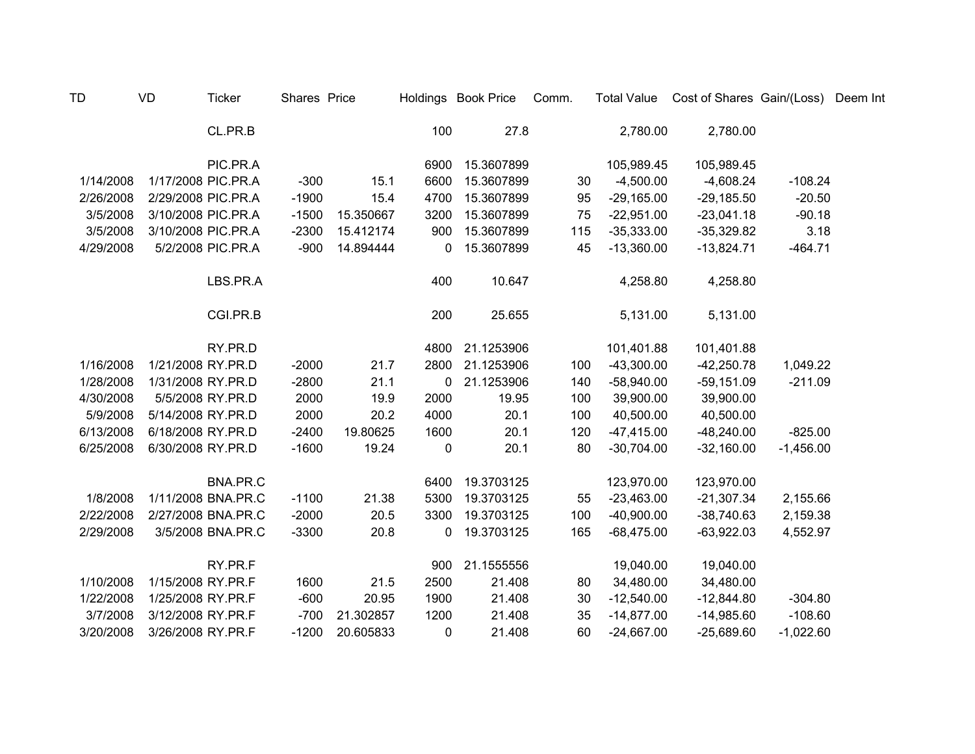| <b>TD</b> | <b>VD</b>         | <b>Ticker</b>      | Shares Price |           |             | Holdings Book Price | Comm. | <b>Total Value</b> | Cost of Shares Gain/(Loss) |             | Deem Int |
|-----------|-------------------|--------------------|--------------|-----------|-------------|---------------------|-------|--------------------|----------------------------|-------------|----------|
|           |                   | CL.PR.B            |              |           | 100         | 27.8                |       | 2,780.00           | 2,780.00                   |             |          |
|           |                   | PIC.PR.A           |              |           | 6900        | 15.3607899          |       | 105,989.45         | 105,989.45                 |             |          |
| 1/14/2008 |                   | 1/17/2008 PIC.PR.A | $-300$       | 15.1      | 6600        | 15.3607899          | 30    | $-4,500.00$        | $-4,608.24$                | $-108.24$   |          |
| 2/26/2008 |                   | 2/29/2008 PIC.PR.A | $-1900$      | 15.4      | 4700        | 15.3607899          | 95    | $-29,165.00$       | $-29,185.50$               | $-20.50$    |          |
| 3/5/2008  |                   | 3/10/2008 PIC.PR.A | $-1500$      | 15.350667 | 3200        | 15.3607899          | 75    | $-22,951.00$       | $-23,041.18$               | $-90.18$    |          |
| 3/5/2008  |                   | 3/10/2008 PIC.PR.A | $-2300$      | 15.412174 | 900         | 15.3607899          | 115   | $-35,333.00$       | $-35,329.82$               | 3.18        |          |
| 4/29/2008 |                   | 5/2/2008 PIC.PR.A  | $-900$       | 14.894444 | 0           | 15.3607899          | 45    | $-13,360.00$       | $-13,824.71$               | $-464.71$   |          |
|           |                   | LBS.PR.A           |              |           | 400         | 10.647              |       | 4,258.80           | 4,258.80                   |             |          |
|           |                   | CGI.PR.B           |              |           | 200         | 25.655              |       | 5,131.00           | 5,131.00                   |             |          |
|           |                   | RY.PR.D            |              |           | 4800        | 21.1253906          |       | 101,401.88         | 101,401.88                 |             |          |
| 1/16/2008 | 1/21/2008 RY.PR.D |                    | $-2000$      | 21.7      | 2800        | 21.1253906          | 100   | $-43,300.00$       | $-42,250.78$               | 1,049.22    |          |
| 1/28/2008 | 1/31/2008 RY.PR.D |                    | $-2800$      | 21.1      | $\mathbf 0$ | 21.1253906          | 140   | $-58,940.00$       | $-59,151.09$               | $-211.09$   |          |
| 4/30/2008 |                   | 5/5/2008 RY.PR.D   | 2000         | 19.9      | 2000        | 19.95               | 100   | 39,900.00          | 39,900.00                  |             |          |
| 5/9/2008  | 5/14/2008 RY.PR.D |                    | 2000         | 20.2      | 4000        | 20.1                | 100   | 40,500.00          | 40,500.00                  |             |          |
| 6/13/2008 | 6/18/2008 RY.PR.D |                    | $-2400$      | 19.80625  | 1600        | 20.1                | 120   | $-47,415.00$       | $-48,240.00$               | $-825.00$   |          |
| 6/25/2008 | 6/30/2008 RY.PR.D |                    | $-1600$      | 19.24     | 0           | 20.1                | 80    | $-30,704.00$       | $-32,160.00$               | $-1,456.00$ |          |
|           |                   | BNA.PR.C           |              |           | 6400        | 19.3703125          |       | 123,970.00         | 123,970.00                 |             |          |
| 1/8/2008  |                   | 1/11/2008 BNA.PR.C | $-1100$      | 21.38     | 5300        | 19.3703125          | 55    | $-23,463.00$       | $-21,307.34$               | 2,155.66    |          |
| 2/22/2008 |                   | 2/27/2008 BNA.PR.C | $-2000$      | 20.5      | 3300        | 19.3703125          | 100   | $-40,900.00$       | $-38,740.63$               | 2,159.38    |          |
| 2/29/2008 |                   | 3/5/2008 BNA.PR.C  | $-3300$      | 20.8      | 0           | 19.3703125          | 165   | $-68,475.00$       | $-63,922.03$               | 4,552.97    |          |
|           |                   | RY.PR.F            |              |           | 900         | 21.1555556          |       | 19,040.00          | 19,040.00                  |             |          |
| 1/10/2008 | 1/15/2008 RY.PR.F |                    | 1600         | 21.5      | 2500        | 21.408              | 80    | 34,480.00          | 34,480.00                  |             |          |
| 1/22/2008 | 1/25/2008 RY.PR.F |                    | $-600$       | 20.95     | 1900        | 21.408              | 30    | $-12,540.00$       | $-12,844.80$               | $-304.80$   |          |
| 3/7/2008  | 3/12/2008 RY.PR.F |                    | $-700$       | 21.302857 | 1200        | 21.408              | 35    | $-14,877.00$       | $-14,985.60$               | $-108.60$   |          |
| 3/20/2008 | 3/26/2008 RY.PR.F |                    | $-1200$      | 20.605833 | 0           | 21.408              | 60    | $-24,667.00$       | $-25,689.60$               | $-1,022.60$ |          |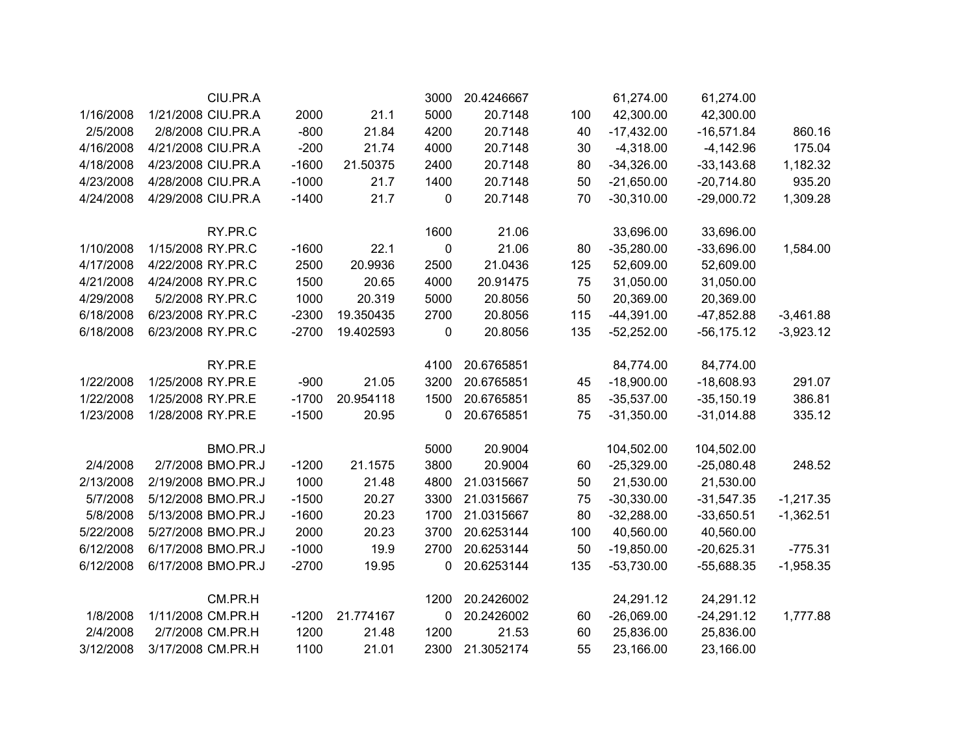|           | CIU.PR.A           |         |           | 3000         | 20.4246667 |     | 61,274.00    | 61,274.00     |             |
|-----------|--------------------|---------|-----------|--------------|------------|-----|--------------|---------------|-------------|
| 1/16/2008 | 1/21/2008 CIU.PR.A | 2000    | 21.1      | 5000         | 20.7148    | 100 | 42,300.00    | 42,300.00     |             |
| 2/5/2008  | 2/8/2008 CIU.PR.A  | $-800$  | 21.84     | 4200         | 20.7148    | 40  | $-17,432.00$ | $-16,571.84$  | 860.16      |
| 4/16/2008 | 4/21/2008 CIU.PR.A | $-200$  | 21.74     | 4000         | 20.7148    | 30  | $-4,318.00$  | $-4,142.96$   | 175.04      |
| 4/18/2008 | 4/23/2008 CIU.PR.A | $-1600$ | 21.50375  | 2400         | 20.7148    | 80  | $-34,326.00$ | $-33,143.68$  | 1,182.32    |
| 4/23/2008 | 4/28/2008 CIU.PR.A | $-1000$ | 21.7      | 1400         | 20.7148    | 50  | $-21,650.00$ | $-20,714.80$  | 935.20      |
| 4/24/2008 | 4/29/2008 CIU.PR.A | $-1400$ | 21.7      | 0            | 20.7148    | 70  | $-30,310.00$ | $-29,000.72$  | 1,309.28    |
|           | RY.PR.C            |         |           | 1600         | 21.06      |     | 33,696.00    | 33,696.00     |             |
| 1/10/2008 | 1/15/2008 RY.PR.C  | $-1600$ | 22.1      | $\pmb{0}$    | 21.06      | 80  | $-35,280.00$ | $-33,696.00$  | 1,584.00    |
| 4/17/2008 | 4/22/2008 RY.PR.C  | 2500    | 20.9936   | 2500         | 21.0436    | 125 | 52,609.00    | 52,609.00     |             |
| 4/21/2008 | 4/24/2008 RY.PR.C  | 1500    | 20.65     | 4000         | 20.91475   | 75  | 31,050.00    | 31,050.00     |             |
| 4/29/2008 | 5/2/2008 RY.PR.C   | 1000    | 20.319    | 5000         | 20.8056    | 50  | 20,369.00    | 20,369.00     |             |
| 6/18/2008 | 6/23/2008 RY.PR.C  | $-2300$ | 19.350435 | 2700         | 20.8056    | 115 | $-44,391.00$ | -47,852.88    | $-3,461.88$ |
| 6/18/2008 | 6/23/2008 RY.PR.C  | $-2700$ | 19.402593 | 0            | 20.8056    | 135 | $-52,252.00$ | $-56, 175.12$ | $-3,923.12$ |
|           | RY.PR.E            |         |           | 4100         | 20.6765851 |     | 84,774.00    | 84,774.00     |             |
| 1/22/2008 | 1/25/2008 RY.PR.E  | $-900$  | 21.05     | 3200         | 20.6765851 | 45  | $-18,900.00$ | $-18,608.93$  | 291.07      |
| 1/22/2008 | 1/25/2008 RY.PR.E  | $-1700$ | 20.954118 | 1500         | 20.6765851 | 85  | $-35,537.00$ | $-35,150.19$  | 386.81      |
| 1/23/2008 | 1/28/2008 RY.PR.E  | $-1500$ | 20.95     | $\mathbf{0}$ | 20.6765851 | 75  | $-31,350.00$ | $-31,014.88$  | 335.12      |
|           | BMO.PR.J           |         |           | 5000         | 20.9004    |     | 104,502.00   | 104,502.00    |             |
| 2/4/2008  | 2/7/2008 BMO.PR.J  | $-1200$ | 21.1575   | 3800         | 20.9004    | 60  | $-25,329.00$ | $-25,080.48$  | 248.52      |
| 2/13/2008 | 2/19/2008 BMO.PR.J | 1000    | 21.48     | 4800         | 21.0315667 | 50  | 21,530.00    | 21,530.00     |             |
| 5/7/2008  | 5/12/2008 BMO.PR.J | $-1500$ | 20.27     | 3300         | 21.0315667 | 75  | $-30,330.00$ | $-31,547.35$  | $-1,217.35$ |
| 5/8/2008  | 5/13/2008 BMO.PR.J | $-1600$ | 20.23     | 1700         | 21.0315667 | 80  | $-32,288.00$ | $-33,650.51$  | $-1,362.51$ |
| 5/22/2008 | 5/27/2008 BMO.PR.J | 2000    | 20.23     | 3700         | 20.6253144 | 100 | 40,560.00    | 40,560.00     |             |
| 6/12/2008 | 6/17/2008 BMO.PR.J | $-1000$ | 19.9      | 2700         | 20.6253144 | 50  | $-19,850.00$ | $-20,625.31$  | $-775.31$   |
| 6/12/2008 | 6/17/2008 BMO.PR.J | $-2700$ | 19.95     | 0            | 20.6253144 | 135 | $-53,730.00$ | $-55,688.35$  | $-1,958.35$ |
|           | CM.PR.H            |         |           | 1200         | 20.2426002 |     | 24,291.12    | 24,291.12     |             |
| 1/8/2008  | 1/11/2008 CM.PR.H  | $-1200$ | 21.774167 | $\pmb{0}$    | 20.2426002 | 60  | $-26,069.00$ | $-24,291.12$  | 1,777.88    |
| 2/4/2008  | 2/7/2008 CM.PR.H   | 1200    | 21.48     | 1200         | 21.53      | 60  | 25,836.00    | 25,836.00     |             |
| 3/12/2008 | 3/17/2008 CM.PR.H  | 1100    | 21.01     | 2300         | 21.3052174 | 55  | 23,166.00    | 23,166.00     |             |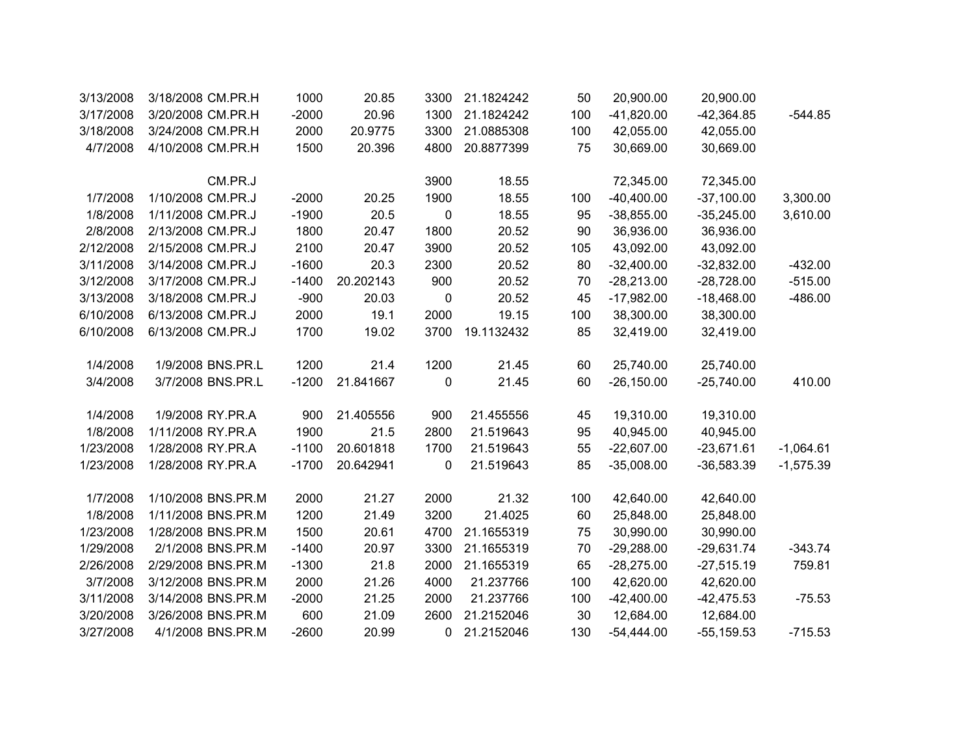| 3/13/2008 | 3/18/2008 CM.PR.H  | 1000    | 20.85     | 3300             | 21.1824242 | 50  | 20,900.00    | 20,900.00     |             |
|-----------|--------------------|---------|-----------|------------------|------------|-----|--------------|---------------|-------------|
| 3/17/2008 | 3/20/2008 CM.PR.H  | $-2000$ | 20.96     | 1300             | 21.1824242 | 100 | $-41,820.00$ | $-42,364.85$  | $-544.85$   |
| 3/18/2008 | 3/24/2008 CM.PR.H  | 2000    | 20.9775   | 3300             | 21.0885308 | 100 | 42,055.00    | 42,055.00     |             |
| 4/7/2008  | 4/10/2008 CM.PR.H  | 1500    | 20.396    | 4800             | 20.8877399 | 75  | 30,669.00    | 30,669.00     |             |
|           | CM.PR.J            |         |           | 3900             | 18.55      |     | 72,345.00    | 72,345.00     |             |
| 1/7/2008  | 1/10/2008 CM.PR.J  | $-2000$ | 20.25     | 1900             | 18.55      | 100 | $-40,400.00$ | $-37,100.00$  | 3,300.00    |
| 1/8/2008  | 1/11/2008 CM.PR.J  | $-1900$ | 20.5      | $\pmb{0}$        | 18.55      | 95  | $-38,855.00$ | $-35,245.00$  | 3,610.00    |
| 2/8/2008  | 2/13/2008 CM.PR.J  | 1800    | 20.47     | 1800             | 20.52      | 90  | 36,936.00    | 36,936.00     |             |
| 2/12/2008 | 2/15/2008 CM.PR.J  | 2100    | 20.47     | 3900             | 20.52      | 105 | 43,092.00    | 43,092.00     |             |
| 3/11/2008 | 3/14/2008 CM.PR.J  | $-1600$ | 20.3      | 2300             | 20.52      | 80  | $-32,400.00$ | $-32,832.00$  | $-432.00$   |
| 3/12/2008 | 3/17/2008 CM.PR.J  | $-1400$ | 20.202143 | 900              | 20.52      | 70  | $-28,213.00$ | $-28,728.00$  | $-515.00$   |
| 3/13/2008 | 3/18/2008 CM.PR.J  | $-900$  | 20.03     | $\boldsymbol{0}$ | 20.52      | 45  | $-17,982.00$ | $-18,468.00$  | $-486.00$   |
| 6/10/2008 | 6/13/2008 CM.PR.J  | 2000    | 19.1      | 2000             | 19.15      | 100 | 38,300.00    | 38,300.00     |             |
| 6/10/2008 | 6/13/2008 CM.PR.J  | 1700    | 19.02     | 3700             | 19.1132432 | 85  | 32,419.00    | 32,419.00     |             |
| 1/4/2008  | 1/9/2008 BNS.PR.L  | 1200    | 21.4      | 1200             | 21.45      | 60  | 25,740.00    | 25,740.00     |             |
| 3/4/2008  | 3/7/2008 BNS.PR.L  | $-1200$ | 21.841667 | 0                | 21.45      | 60  | $-26,150.00$ | $-25,740.00$  | 410.00      |
| 1/4/2008  | 1/9/2008 RY.PR.A   | 900     | 21.405556 | 900              | 21.455556  | 45  | 19,310.00    | 19,310.00     |             |
| 1/8/2008  | 1/11/2008 RY.PR.A  | 1900    | 21.5      | 2800             | 21.519643  | 95  | 40,945.00    | 40,945.00     |             |
| 1/23/2008 | 1/28/2008 RY.PR.A  | $-1100$ | 20.601818 | 1700             | 21.519643  | 55  | $-22,607.00$ | $-23,671.61$  | $-1,064.61$ |
| 1/23/2008 | 1/28/2008 RY.PR.A  | $-1700$ | 20.642941 | 0                | 21.519643  | 85  | $-35,008.00$ | $-36,583.39$  | $-1,575.39$ |
| 1/7/2008  | 1/10/2008 BNS.PR.M | 2000    | 21.27     | 2000             | 21.32      | 100 | 42,640.00    | 42,640.00     |             |
| 1/8/2008  | 1/11/2008 BNS.PR.M | 1200    | 21.49     | 3200             | 21.4025    | 60  | 25,848.00    | 25,848.00     |             |
| 1/23/2008 | 1/28/2008 BNS.PR.M | 1500    | 20.61     | 4700             | 21.1655319 | 75  | 30,990.00    | 30,990.00     |             |
| 1/29/2008 | 2/1/2008 BNS.PR.M  | $-1400$ | 20.97     | 3300             | 21.1655319 | 70  | $-29,288.00$ | $-29,631.74$  | $-343.74$   |
| 2/26/2008 | 2/29/2008 BNS.PR.M | $-1300$ | 21.8      | 2000             | 21.1655319 | 65  | $-28,275.00$ | $-27,515.19$  | 759.81      |
| 3/7/2008  | 3/12/2008 BNS.PR.M | 2000    | 21.26     | 4000             | 21.237766  | 100 | 42,620.00    | 42,620.00     |             |
| 3/11/2008 | 3/14/2008 BNS.PR.M | $-2000$ | 21.25     | 2000             | 21.237766  | 100 | $-42,400.00$ | $-42,475.53$  | $-75.53$    |
| 3/20/2008 | 3/26/2008 BNS.PR.M | 600     | 21.09     | 2600             | 21.2152046 | 30  | 12,684.00    | 12,684.00     |             |
| 3/27/2008 | 4/1/2008 BNS.PR.M  | $-2600$ | 20.99     | 0                | 21.2152046 | 130 | $-54,444.00$ | $-55, 159.53$ | $-715.53$   |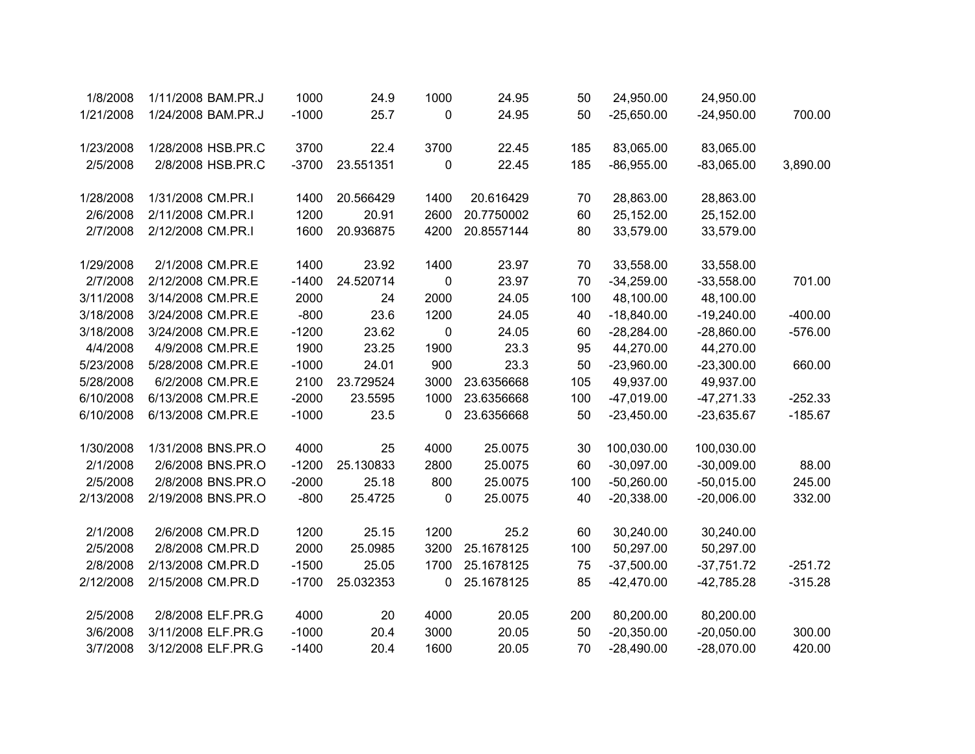| 1/8/2008  | 1/11/2008 BAM.PR.J | 1000    | 24.9      | 1000      | 24.95      | 50  | 24,950.00    | 24,950.00    |           |
|-----------|--------------------|---------|-----------|-----------|------------|-----|--------------|--------------|-----------|
| 1/21/2008 | 1/24/2008 BAM.PR.J | $-1000$ | 25.7      | 0         | 24.95      | 50  | $-25,650.00$ | $-24,950.00$ | 700.00    |
| 1/23/2008 | 1/28/2008 HSB.PR.C | 3700    | 22.4      | 3700      | 22.45      | 185 | 83,065.00    | 83,065.00    |           |
| 2/5/2008  | 2/8/2008 HSB.PR.C  | $-3700$ | 23.551351 | 0         | 22.45      | 185 | $-86,955.00$ | $-83,065.00$ | 3,890.00  |
| 1/28/2008 | 1/31/2008 CM.PR.I  | 1400    | 20.566429 | 1400      | 20.616429  | 70  | 28,863.00    | 28,863.00    |           |
| 2/6/2008  | 2/11/2008 CM.PR.I  | 1200    | 20.91     | 2600      | 20.7750002 | 60  | 25,152.00    | 25,152.00    |           |
| 2/7/2008  | 2/12/2008 CM.PR.I  | 1600    | 20.936875 | 4200      | 20.8557144 | 80  | 33,579.00    | 33,579.00    |           |
| 1/29/2008 | 2/1/2008 CM.PR.E   | 1400    | 23.92     | 1400      | 23.97      | 70  | 33,558.00    | 33,558.00    |           |
| 2/7/2008  | 2/12/2008 CM.PR.E  | $-1400$ | 24.520714 | 0         | 23.97      | 70  | $-34,259.00$ | $-33,558.00$ | 701.00    |
| 3/11/2008 | 3/14/2008 CM.PR.E  | 2000    | 24        | 2000      | 24.05      | 100 | 48,100.00    | 48,100.00    |           |
| 3/18/2008 | 3/24/2008 CM.PR.E  | $-800$  | 23.6      | 1200      | 24.05      | 40  | $-18,840.00$ | $-19,240.00$ | $-400.00$ |
| 3/18/2008 | 3/24/2008 CM.PR.E  | $-1200$ | 23.62     | $\pmb{0}$ | 24.05      | 60  | $-28,284.00$ | $-28,860.00$ | $-576.00$ |
| 4/4/2008  | 4/9/2008 CM.PR.E   | 1900    | 23.25     | 1900      | 23.3       | 95  | 44,270.00    | 44,270.00    |           |
| 5/23/2008 | 5/28/2008 CM.PR.E  | $-1000$ | 24.01     | 900       | 23.3       | 50  | $-23,960.00$ | $-23,300.00$ | 660.00    |
| 5/28/2008 | 6/2/2008 CM.PR.E   | 2100    | 23.729524 | 3000      | 23.6356668 | 105 | 49,937.00    | 49,937.00    |           |
| 6/10/2008 | 6/13/2008 CM.PR.E  | $-2000$ | 23.5595   | 1000      | 23.6356668 | 100 | $-47,019.00$ | $-47,271.33$ | $-252.33$ |
| 6/10/2008 | 6/13/2008 CM.PR.E  | $-1000$ | 23.5      | 0         | 23.6356668 | 50  | $-23,450.00$ | $-23,635.67$ | $-185.67$ |
| 1/30/2008 | 1/31/2008 BNS.PR.O | 4000    | 25        | 4000      | 25.0075    | 30  | 100,030.00   | 100,030.00   |           |
| 2/1/2008  | 2/6/2008 BNS.PR.O  | $-1200$ | 25.130833 | 2800      | 25.0075    | 60  | $-30,097.00$ | $-30,009.00$ | 88.00     |
| 2/5/2008  | 2/8/2008 BNS.PR.O  | $-2000$ | 25.18     | 800       | 25.0075    | 100 | $-50,260.00$ | $-50,015.00$ | 245.00    |
| 2/13/2008 | 2/19/2008 BNS.PR.O | $-800$  | 25.4725   | 0         | 25.0075    | 40  | $-20,338.00$ | $-20,006.00$ | 332.00    |
| 2/1/2008  | 2/6/2008 CM.PR.D   | 1200    | 25.15     | 1200      | 25.2       | 60  | 30,240.00    | 30,240.00    |           |
| 2/5/2008  | 2/8/2008 CM.PR.D   | 2000    | 25.0985   | 3200      | 25.1678125 | 100 | 50,297.00    | 50,297.00    |           |
| 2/8/2008  | 2/13/2008 CM.PR.D  | $-1500$ | 25.05     | 1700      | 25.1678125 | 75  | $-37,500.00$ | $-37,751.72$ | $-251.72$ |
| 2/12/2008 | 2/15/2008 CM.PR.D  | $-1700$ | 25.032353 | 0         | 25.1678125 | 85  | $-42,470.00$ | $-42,785.28$ | $-315.28$ |
| 2/5/2008  | 2/8/2008 ELF.PR.G  | 4000    | 20        | 4000      | 20.05      | 200 | 80,200.00    | 80,200.00    |           |
| 3/6/2008  | 3/11/2008 ELF.PR.G | $-1000$ | 20.4      | 3000      | 20.05      | 50  | $-20,350.00$ | $-20,050.00$ | 300.00    |
| 3/7/2008  | 3/12/2008 ELF.PR.G | $-1400$ | 20.4      | 1600      | 20.05      | 70  | $-28,490.00$ | $-28,070.00$ | 420.00    |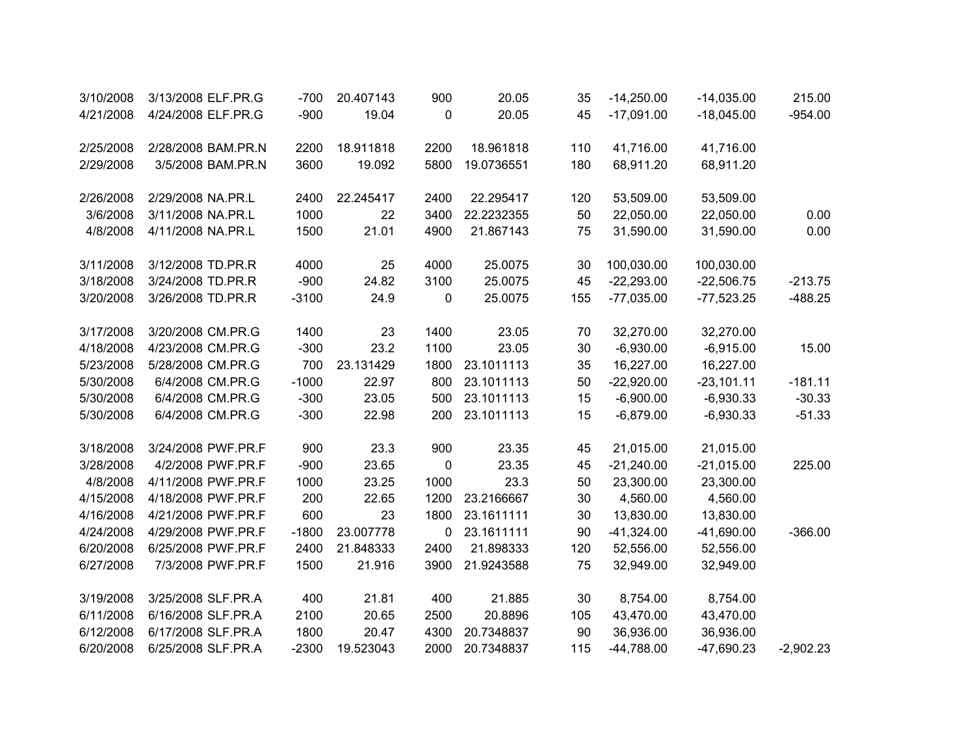| 3/10/2008 | 3/13/2008 ELF.PR.G | $-700$  | 20.407143 | 900  | 20.05      | 35  | $-14,250.00$ | $-14,035.00$ | 215.00      |
|-----------|--------------------|---------|-----------|------|------------|-----|--------------|--------------|-------------|
| 4/21/2008 | 4/24/2008 ELF.PR.G | $-900$  | 19.04     | 0    | 20.05      | 45  | $-17,091.00$ | $-18,045.00$ | $-954.00$   |
|           |                    |         |           |      |            |     |              |              |             |
| 2/25/2008 | 2/28/2008 BAM.PR.N | 2200    | 18.911818 | 2200 | 18.961818  | 110 | 41,716.00    | 41,716.00    |             |
| 2/29/2008 | 3/5/2008 BAM.PR.N  | 3600    | 19.092    | 5800 | 19.0736551 | 180 | 68,911.20    | 68,911.20    |             |
|           |                    |         |           |      |            |     |              |              |             |
| 2/26/2008 | 2/29/2008 NA.PR.L  | 2400    | 22.245417 | 2400 | 22.295417  | 120 | 53,509.00    | 53,509.00    |             |
| 3/6/2008  | 3/11/2008 NA.PR.L  | 1000    | 22        | 3400 | 22.2232355 | 50  | 22,050.00    | 22,050.00    | 0.00        |
| 4/8/2008  | 4/11/2008 NA.PR.L  | 1500    | 21.01     | 4900 | 21.867143  | 75  | 31,590.00    | 31,590.00    | 0.00        |
| 3/11/2008 | 3/12/2008 TD.PR.R  | 4000    | 25        | 4000 | 25.0075    | 30  | 100,030.00   | 100,030.00   |             |
| 3/18/2008 | 3/24/2008 TD.PR.R  | $-900$  | 24.82     | 3100 | 25.0075    | 45  | $-22,293.00$ | $-22,506.75$ | $-213.75$   |
| 3/20/2008 | 3/26/2008 TD.PR.R  | $-3100$ | 24.9      | 0    | 25.0075    | 155 | $-77,035.00$ | $-77,523.25$ | $-488.25$   |
|           |                    |         |           |      |            |     |              |              |             |
| 3/17/2008 | 3/20/2008 CM.PR.G  | 1400    | 23        | 1400 | 23.05      | 70  | 32,270.00    | 32,270.00    |             |
| 4/18/2008 | 4/23/2008 CM.PR.G  | $-300$  | 23.2      | 1100 | 23.05      | 30  | $-6,930.00$  | $-6,915.00$  | 15.00       |
| 5/23/2008 | 5/28/2008 CM.PR.G  | 700     | 23.131429 | 1800 | 23.1011113 | 35  | 16,227.00    | 16,227.00    |             |
| 5/30/2008 | 6/4/2008 CM.PR.G   | $-1000$ | 22.97     | 800  | 23.1011113 | 50  | $-22,920.00$ | $-23,101.11$ | $-181.11$   |
| 5/30/2008 | 6/4/2008 CM.PR.G   | $-300$  | 23.05     | 500  | 23.1011113 | 15  | $-6,900.00$  | $-6,930.33$  | $-30.33$    |
| 5/30/2008 | 6/4/2008 CM.PR.G   | $-300$  | 22.98     | 200  | 23.1011113 | 15  | $-6,879.00$  | $-6,930.33$  | $-51.33$    |
|           |                    |         |           |      |            |     |              |              |             |
| 3/18/2008 | 3/24/2008 PWF.PR.F | 900     | 23.3      | 900  | 23.35      | 45  | 21,015.00    | 21,015.00    |             |
| 3/28/2008 | 4/2/2008 PWF.PR.F  | $-900$  | 23.65     | 0    | 23.35      | 45  | $-21,240.00$ | $-21,015.00$ | 225.00      |
| 4/8/2008  | 4/11/2008 PWF.PR.F | 1000    | 23.25     | 1000 | 23.3       | 50  | 23,300.00    | 23,300.00    |             |
| 4/15/2008 | 4/18/2008 PWF.PR.F | 200     | 22.65     | 1200 | 23.2166667 | 30  | 4,560.00     | 4,560.00     |             |
| 4/16/2008 | 4/21/2008 PWF.PR.F | 600     | 23        | 1800 | 23.1611111 | 30  | 13,830.00    | 13,830.00    |             |
| 4/24/2008 | 4/29/2008 PWF.PR.F | $-1800$ | 23.007778 | 0    | 23.1611111 | 90  | $-41,324.00$ | $-41,690.00$ | $-366.00$   |
| 6/20/2008 | 6/25/2008 PWF.PR.F | 2400    | 21.848333 | 2400 | 21.898333  | 120 | 52,556.00    | 52,556.00    |             |
| 6/27/2008 | 7/3/2008 PWF.PR.F  | 1500    | 21.916    | 3900 | 21.9243588 | 75  | 32,949.00    | 32,949.00    |             |
|           |                    |         |           |      |            |     |              |              |             |
| 3/19/2008 | 3/25/2008 SLF.PR.A | 400     | 21.81     | 400  | 21.885     | 30  | 8,754.00     | 8,754.00     |             |
| 6/11/2008 | 6/16/2008 SLF.PR.A | 2100    | 20.65     | 2500 | 20.8896    | 105 | 43,470.00    | 43,470.00    |             |
| 6/12/2008 | 6/17/2008 SLF.PR.A | 1800    | 20.47     | 4300 | 20.7348837 | 90  | 36,936.00    | 36,936.00    |             |
| 6/20/2008 | 6/25/2008 SLF.PR.A | $-2300$ | 19.523043 | 2000 | 20.7348837 | 115 | $-44,788.00$ | $-47,690.23$ | $-2,902.23$ |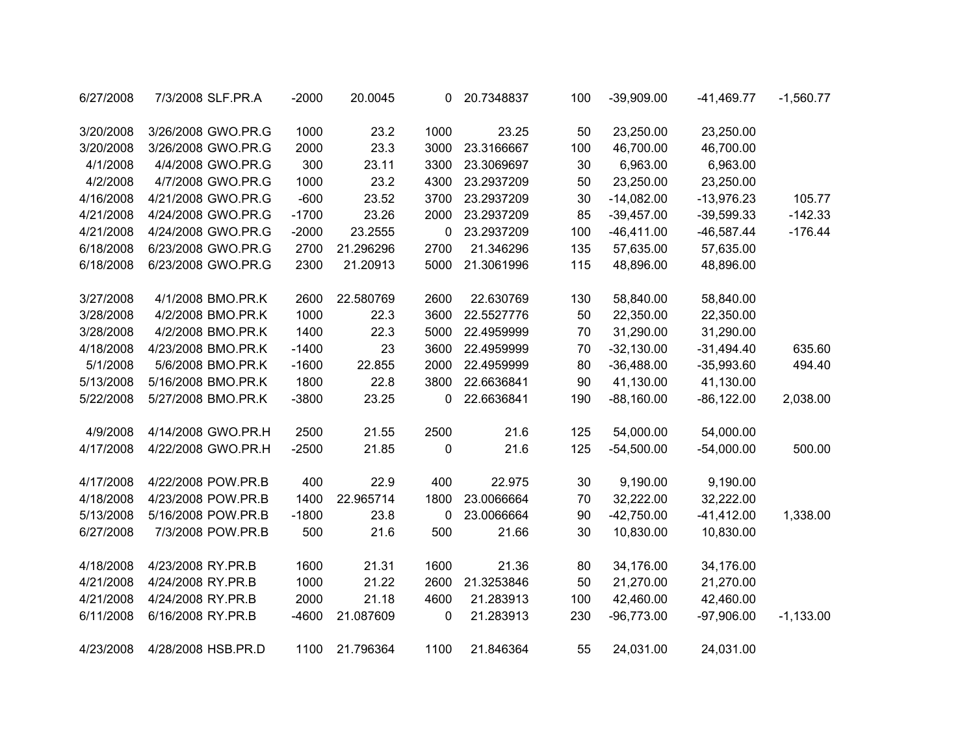| 6/27/2008 | 7/3/2008 SLF.PR.A  | $-2000$ | 20.0045   | 0    | 20.7348837 | 100 | $-39,909.00$ | $-41,469.77$  | $-1,560.77$ |
|-----------|--------------------|---------|-----------|------|------------|-----|--------------|---------------|-------------|
| 3/20/2008 | 3/26/2008 GWO.PR.G | 1000    | 23.2      | 1000 | 23.25      | 50  | 23,250.00    | 23,250.00     |             |
| 3/20/2008 | 3/26/2008 GWO.PR.G | 2000    | 23.3      | 3000 | 23.3166667 | 100 | 46,700.00    | 46,700.00     |             |
| 4/1/2008  | 4/4/2008 GWO.PR.G  | 300     | 23.11     | 3300 | 23.3069697 | 30  | 6,963.00     | 6,963.00      |             |
| 4/2/2008  | 4/7/2008 GWO.PR.G  | 1000    | 23.2      | 4300 | 23.2937209 | 50  | 23,250.00    | 23,250.00     |             |
| 4/16/2008 | 4/21/2008 GWO.PR.G | $-600$  | 23.52     | 3700 | 23.2937209 | 30  | $-14,082.00$ | $-13,976.23$  | 105.77      |
| 4/21/2008 | 4/24/2008 GWO.PR.G | $-1700$ | 23.26     | 2000 | 23.2937209 | 85  | $-39,457.00$ | $-39,599.33$  | $-142.33$   |
| 4/21/2008 | 4/24/2008 GWO.PR.G | $-2000$ | 23.2555   | 0    | 23.2937209 | 100 | $-46,411.00$ | $-46,587.44$  | $-176.44$   |
| 6/18/2008 | 6/23/2008 GWO.PR.G | 2700    | 21.296296 | 2700 | 21.346296  | 135 | 57,635.00    | 57,635.00     |             |
| 6/18/2008 | 6/23/2008 GWO.PR.G | 2300    | 21.20913  | 5000 | 21.3061996 | 115 | 48,896.00    | 48,896.00     |             |
| 3/27/2008 | 4/1/2008 BMO.PR.K  | 2600    | 22.580769 | 2600 | 22.630769  | 130 | 58,840.00    | 58,840.00     |             |
| 3/28/2008 | 4/2/2008 BMO.PR.K  | 1000    | 22.3      | 3600 | 22.5527776 | 50  | 22,350.00    | 22,350.00     |             |
| 3/28/2008 | 4/2/2008 BMO.PR.K  | 1400    | 22.3      | 5000 | 22.4959999 | 70  | 31,290.00    | 31,290.00     |             |
| 4/18/2008 | 4/23/2008 BMO.PR.K | $-1400$ | 23        | 3600 | 22.4959999 | 70  | $-32,130.00$ | $-31,494.40$  | 635.60      |
| 5/1/2008  | 5/6/2008 BMO.PR.K  | $-1600$ | 22.855    | 2000 | 22.4959999 | 80  | $-36,488.00$ | $-35,993.60$  | 494.40      |
| 5/13/2008 | 5/16/2008 BMO.PR.K | 1800    | 22.8      | 3800 | 22.6636841 | 90  | 41,130.00    | 41,130.00     |             |
| 5/22/2008 | 5/27/2008 BMO.PR.K | $-3800$ | 23.25     | 0    | 22.6636841 | 190 | $-88,160.00$ | $-86, 122.00$ | 2,038.00    |
| 4/9/2008  | 4/14/2008 GWO.PR.H | 2500    | 21.55     | 2500 | 21.6       | 125 | 54,000.00    | 54,000.00     |             |
| 4/17/2008 | 4/22/2008 GWO.PR.H | $-2500$ | 21.85     | 0    | 21.6       | 125 | $-54,500.00$ | $-54,000.00$  | 500.00      |
| 4/17/2008 | 4/22/2008 POW.PR.B | 400     | 22.9      | 400  | 22.975     | 30  | 9,190.00     | 9,190.00      |             |
| 4/18/2008 | 4/23/2008 POW.PR.B | 1400    | 22.965714 | 1800 | 23.0066664 | 70  | 32,222.00    | 32,222.00     |             |
| 5/13/2008 | 5/16/2008 POW.PR.B | $-1800$ | 23.8      | 0    | 23.0066664 | 90  | $-42,750.00$ | $-41,412.00$  | 1,338.00    |
| 6/27/2008 | 7/3/2008 POW.PR.B  | 500     | 21.6      | 500  | 21.66      | 30  | 10,830.00    | 10,830.00     |             |
| 4/18/2008 | 4/23/2008 RY.PR.B  | 1600    | 21.31     | 1600 | 21.36      | 80  | 34,176.00    | 34,176.00     |             |
| 4/21/2008 | 4/24/2008 RY.PR.B  | 1000    | 21.22     | 2600 | 21.3253846 | 50  | 21,270.00    | 21,270.00     |             |
| 4/21/2008 | 4/24/2008 RY.PR.B  | 2000    | 21.18     | 4600 | 21.283913  | 100 | 42,460.00    | 42,460.00     |             |
| 6/11/2008 | 6/16/2008 RY.PR.B  | $-4600$ | 21.087609 | 0    | 21.283913  | 230 | $-96,773.00$ | $-97,906.00$  | $-1,133.00$ |
| 4/23/2008 | 4/28/2008 HSB.PR.D | 1100    | 21.796364 | 1100 | 21.846364  | 55  | 24,031.00    | 24,031.00     |             |